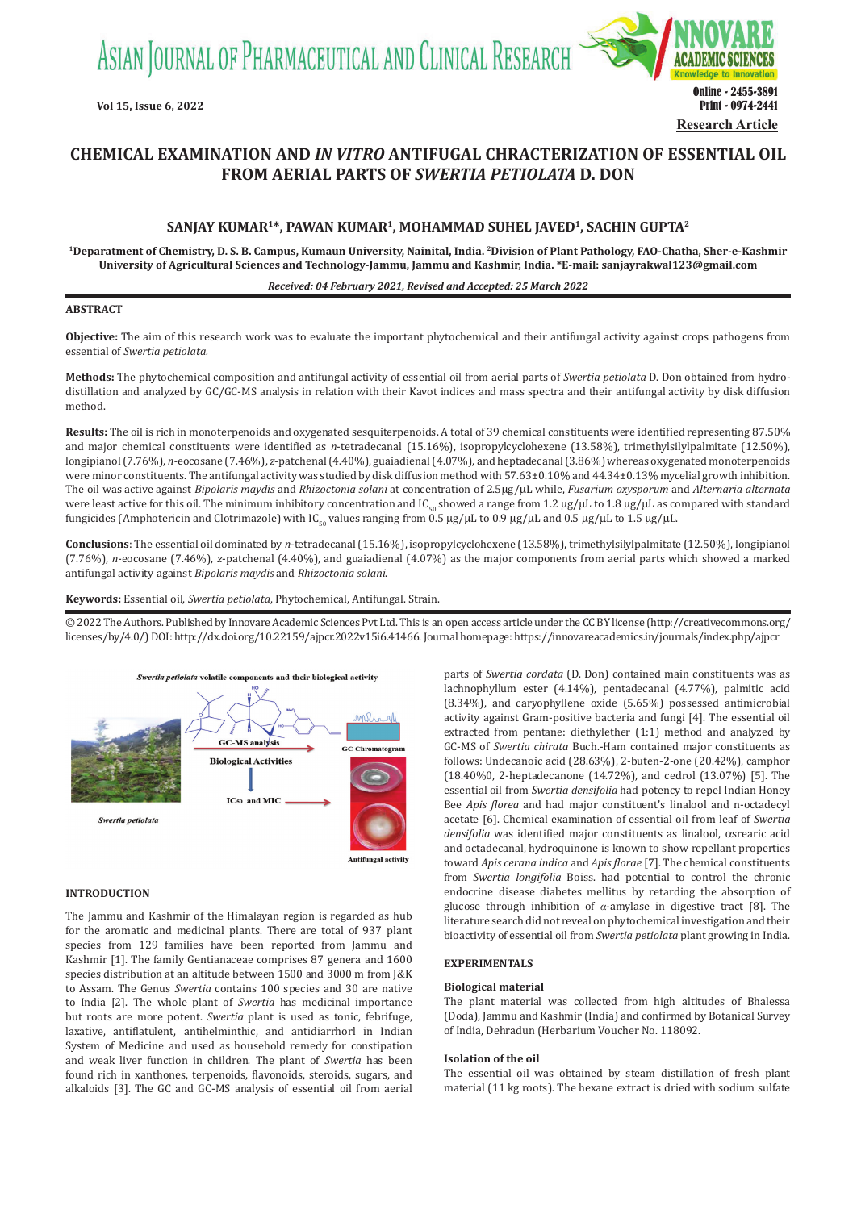ASIAN JOURNAL OF PHARMACEUTICAL AND CLINICAL RESEARCH



# **CHEMICAL EXAMINATION AND** *IN VITRO* **ANTIFUGAL CHRACTERIZATION OF ESSENTIAL OIL FROM AERIAL PARTS OF** *SWERTIA PETIOLATA* **D. DON**

# **SANJAY KUMAR1\*, PAWAN KUMAR1, MOHAMMAD SUHEL JAVED1, SACHIN GUPTA2**

**1Deparatment of Chemistry, D. S. B. Campus, Kumaun University, Nainital, India. 2Division of Plant Pathology, FAO-Chatha, Sher-e-Kashmir University of Agricultural Sciences and Technology-Jammu, Jammu and Kashmir, India. \*E-mail: sanjayrakwal123@gmail.com**

#### *Received: 04 February 2021, Revised and Accepted: 25 March 2022*

#### **ABSTRACT**

**Objective:** The aim of this research work was to evaluate the important phytochemical and their antifungal activity against crops pathogens from essential of *Swertia petiolata.*

**Methods:** The phytochemical composition and antifungal activity of essential oil from aerial parts of *Swertia petiolata* D. Don obtained from hydrodistillation and analyzed by GC/GC-MS analysis in relation with their Kavot indices and mass spectra and their antifungal activity by disk diffusion method.

**Results:** The oil is rich in monoterpenoids and oxygenated sesquiterpenoids. A total of 39 chemical constituents were identified representing 87.50% and major chemical constituents were identified as *n*-tetradecanal (15.16%), isopropylcyclohexene (13.58%), trimethylsilylpalmitate (12.50%), longipianol (7.76%), *n-*eocosane (7.46%), *z*-patchenal (4.40%), guaiadienal (4.07%), and heptadecanal (3.86%) whereas oxygenated monoterpenoids were minor constituents. The antifungal activity was studied by disk diffusion method with 57.63±0.10% and 44.34±0.13% mycelial growth inhibition. The oil was active against *Bipolaris maydis* and *Rhizoctonia solani* at concentration of 2.5µg/µL while, *Fusarium oxysporum* and *Alternaria alternata* were least active for this oil. The minimum inhibitory concentration and IC<sub>50</sub> showed a range from 1.2 µg/µL to 1.8 µg/µL as compared with standard fungicides (Amphotericin and Clotrimazole) with IC<sub>50</sub> values ranging from 0.5 µg/µL to 0.9 µg/µL and 0.5 µg/µL to 1.5 µg/µL.

**Conclusions**: The essential oil dominated by *n*-tetradecanal (15.16%), isopropylcyclohexene (13.58%), trimethylsilylpalmitate (12.50%), longipianol (7.76%), *n-*eocosane (7.46%), *z*-patchenal (4.40%), and guaiadienal (4.07%) as the major components from aerial parts which showed a marked antifungal activity against *Bipolaris maydis* and *Rhizoctonia solani*.

**Keywords:** Essential oil, *Swertia petiolata*, Phytochemical, Antifungal. Strain.

© 2022 The Authors. Published by Innovare Academic Sciences Pvt Ltd. This is an open access article under the CC BY license (http://creativecommons.org/ licenses/by/4.0/) DOI: http://dx.doi.org/10.22159/ajpcr.2022v15i6.41466. Journal homepage: https://innovareacademics.in/journals/index.php/ajpcr



**INTRODUCTION**

The Jammu and Kashmir of the Himalayan region is regarded as hub for the aromatic and medicinal plants. There are total of 937 plant species from 129 families have been reported from Jammu and Kashmir [1]. The family Gentianaceae comprises 87 genera and 1600 species distribution at an altitude between 1500 and 3000 m from J&K to Assam. The Genus *Swertia* contains 100 species and 30 are native to India [2]. The whole plant of *Swertia* has medicinal importance but roots are more potent. *Swertia* plant is used as tonic, febrifuge, laxative, antiflatulent, antihelminthic, and antidiarrhorl in Indian System of Medicine and used as household remedy for constipation and weak liver function in children. The plant of *Swertia* has been found rich in xanthones, terpenoids, flavonoids, steroids, sugars, and alkaloids [3]. The GC and GC-MS analysis of essential oil from aerial parts of *Swertia cordata* (D. Don) contained main constituents was as lachnophyllum ester (4.14%), pentadecanal (4.77%), palmitic acid (8.34%), and caryophyllene oxide (5.65%) possessed antimicrobial activity against Gram-positive bacteria and fungi [4]. The essential oil extracted from pentane: diethylether (1:1) method and analyzed by GC-MS of *Swertia chirata* Buch.-Ham contained major constituents as follows: Undecanoic acid (28.63%), 2-buten-2-one (20.42%), camphor (18.40%0, 2-heptadecanone (14.72%), and cedrol (13.07%) [5]. The essential oil from *Swertia densifolia* had potency to repel Indian Honey Bee *Apis florea* and had major constituent's linalool and n-octadecyl acetate [6]. Chemical examination of essential oil from leaf of *Swertia densifolia* was identified major constituents as linalool, αsrearic acid and octadecanal, hydroquinone is known to show repellant properties toward *Apis cerana indica* and *Apis florae* [7]. The chemical constituents from *Swertia longifolia* Boiss. had potential to control the chronic endocrine disease diabetes mellitus by retarding the absorption of glucose through inhibition of *α*-amylase in digestive tract [8]. The literature search did not reveal on phytochemical investigation and their bioactivity of essential oil from *Swertia petiolata* plant growing in India.

# **EXPERIMENTALS**

#### **Biological material**

The plant material was collected from high altitudes of Bhalessa (Doda), Jammu and Kashmir (India) and confirmed by Botanical Survey of India, Dehradun (Herbarium Voucher No. 118092.

#### **Isolation of the oil**

The essential oil was obtained by steam distillation of fresh plant material (11 kg roots). The hexane extract is dried with sodium sulfate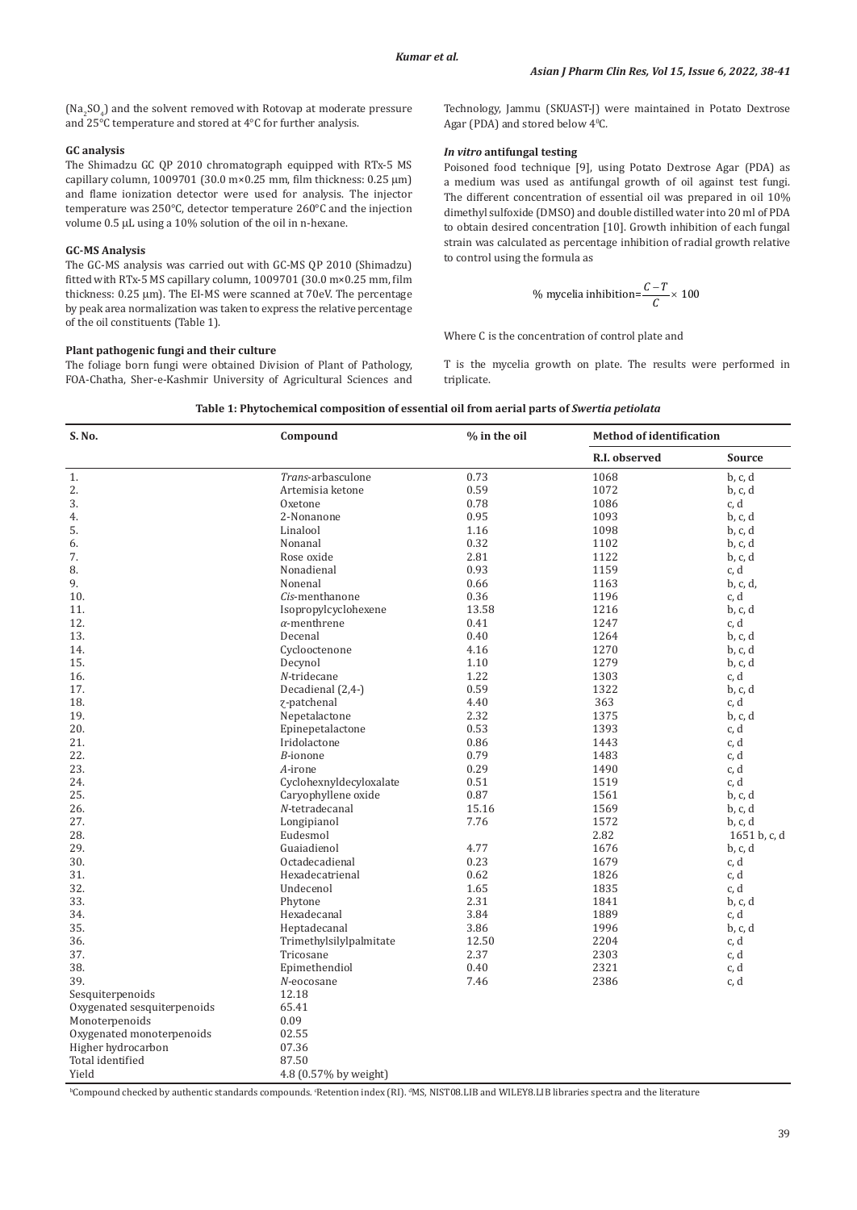$(Na<sub>2</sub>SO<sub>4</sub>)$  and the solvent removed with Rotovap at moderate pressure and 25°C temperature and stored at 4°C for further analysis.

# **GC analysis**

The Shimadzu GC QP 2010 chromatograph equipped with RTx-5 MS capillary column, 1009701 (30.0 m×0.25 mm, film thickness: 0.25 µm) and flame ionization detector were used for analysis. The injector temperature was 250°C, detector temperature 260°C and the injection volume 0.5 µL using a 10% solution of the oil in n-hexane.

# **GC-MS Analysis**

The GC-MS analysis was carried out with GC-MS QP 2010 (Shimadzu) fitted with RTx-5 MS capillary column, 1009701 (30.0 m×0.25 mm, film thickness: 0.25 µm). The EI-MS were scanned at 70eV. The percentage by peak area normalization was taken to express the relative percentage of the oil constituents (Table 1).

# **Plant pathogenic fungi and their culture**

The foliage born fungi were obtained Division of Plant of Pathology, FOA-Chatha, Sher-e-Kashmir University of Agricultural Sciences and Technology, Jammu (SKUAST-J) were maintained in Potato Dextrose Agar (PDA) and stored below 4<sup>o</sup>C.

# *In vitro* **antifungal testing**

Poisoned food technique [9], using Potato Dextrose Agar (PDA) as a medium was used as antifungal growth of oil against test fungi. The different concentration of essential oil was prepared in oil 10% dimethyl sulfoxide (DMSO) and double distilled water into 20 ml of PDA to obtain desired concentration [10]. Growth inhibition of each fungal strain was calculated as percentage inhibition of radial growth relative to control using the formula as

% mycelia inhibition=
$$
\frac{C-T}{C}
$$
 × 100

Where C is the concentration of control plate and

T is the mycelia growth on plate. The results were performed in triplicate.

| S. No.                      | Compound                                                                                                                                                               | % in the oil | <b>Method of identification</b> |               |  |
|-----------------------------|------------------------------------------------------------------------------------------------------------------------------------------------------------------------|--------------|---------------------------------|---------------|--|
|                             |                                                                                                                                                                        |              | R.I. observed                   | <b>Source</b> |  |
| 1.                          | Trans-arbasculone                                                                                                                                                      | 0.73         | 1068                            | b, c, d       |  |
| 2.                          | Artemisia ketone                                                                                                                                                       | 0.59         | 1072                            | b, c, d       |  |
| 3.                          | Oxetone                                                                                                                                                                | 0.78         | 1086                            | c, d          |  |
| 4.                          | 2-Nonanone                                                                                                                                                             | 0.95         | 1093                            | b, c, d       |  |
| 5.                          | Linalool                                                                                                                                                               | 1.16         | 1098                            | b, c, d       |  |
| 6.                          | Nonanal                                                                                                                                                                | 0.32         | 1102                            | b, c, d       |  |
| 7.                          | Rose oxide                                                                                                                                                             | 2.81         | 1122                            | b, c, d       |  |
| 8.                          | Nonadienal                                                                                                                                                             | 0.93         | 1159                            | c, d          |  |
| 9.                          | Nonenal                                                                                                                                                                | 0.66         | 1163                            | b, c, d,      |  |
| 10.                         | Cis-menthanone                                                                                                                                                         | 0.36         | 1196                            | c, d          |  |
| 11.                         | Isopropylcyclohexene                                                                                                                                                   | 13.58        | 1216                            | b, c, d       |  |
| 12.                         | $\alpha$ -menthrene                                                                                                                                                    | 0.41         | 1247                            | c, d          |  |
| 13.                         | Decenal                                                                                                                                                                | 0.40         | 1264                            | b, c, d       |  |
| 14.                         | Cyclooctenone                                                                                                                                                          | 4.16         | 1270                            | b, c, d       |  |
| 15.                         | Decynol                                                                                                                                                                | 1.10         | 1279                            | b, c, d       |  |
| 16.                         | $N$ -tridecane                                                                                                                                                         | 1.22         | 1303                            | c, d          |  |
| 17.                         | Decadienal (2,4-)                                                                                                                                                      | 0.59         | 1322                            | b, c, d       |  |
|                             |                                                                                                                                                                        | 4.40         | 363                             | c, d          |  |
| 18.                         | z-patchenal                                                                                                                                                            |              |                                 |               |  |
| 19.                         | Nepetalactone                                                                                                                                                          | 2.32         | 1375                            | b, c, d       |  |
| 20.                         | Epinepetalactone                                                                                                                                                       | 0.53         | 1393                            | c, d          |  |
| 21.                         | Iridolactone                                                                                                                                                           | 0.86         | 1443                            | c, d          |  |
| 22.                         | B-ionone                                                                                                                                                               | 0.79         | 1483                            | c, d          |  |
| 23.                         | A-irone                                                                                                                                                                | 0.29         | 1490                            | c, d          |  |
| 24.                         | Cyclohexnyldecyloxalate                                                                                                                                                | 0.51         | 1519                            | c, d          |  |
| 25.                         | Caryophyllene oxide                                                                                                                                                    | 0.87         | 1561                            | b, c, d       |  |
| 26.                         | N-tetradecanal                                                                                                                                                         | 15.16        | 1569                            | b, c, d       |  |
| 27.                         | Longipianol                                                                                                                                                            | 7.76         | 1572                            | b, c, d       |  |
| 28.                         | Eudesmol                                                                                                                                                               |              | 2.82                            | 1651 b, c, d  |  |
| 29.                         | Guaiadienol                                                                                                                                                            | 4.77         | 1676                            | b, c, d       |  |
| 30.                         | Octadecadienal                                                                                                                                                         | 0.23         | 1679                            | c, d          |  |
| 31.                         | Hexadecatrienal                                                                                                                                                        | 0.62         | 1826                            | c, d          |  |
| 32.                         | Undecenol                                                                                                                                                              | 1.65         | 1835                            | c, d          |  |
| 33.                         | Phytone                                                                                                                                                                | 2.31         | 1841                            | b, c, d       |  |
| 34.                         | Hexadecanal                                                                                                                                                            | 3.84         | 1889                            | c, d          |  |
| 35.                         | Heptadecanal                                                                                                                                                           | 3.86         | 1996                            | b, c, d       |  |
| 36.                         | Trimethylsilylpalmitate                                                                                                                                                | 12.50        | 2204                            | c, d          |  |
| 37.                         | Tricosane                                                                                                                                                              | 2.37         | 2303                            | c, d          |  |
| 38.                         | Epimethendiol                                                                                                                                                          | 0.40         | 2321                            | c, d          |  |
| 39.                         | N-eocosane                                                                                                                                                             | 7.46         | 2386                            | c, d          |  |
| Sesquiterpenoids            | 12.18                                                                                                                                                                  |              |                                 |               |  |
| Oxygenated sesquiterpenoids | 65.41                                                                                                                                                                  |              |                                 |               |  |
| Monoterpenoids              | 0.09                                                                                                                                                                   |              |                                 |               |  |
| Oxygenated monoterpenoids   | 02.55                                                                                                                                                                  |              |                                 |               |  |
| Higher hydrocarbon          | 07.36                                                                                                                                                                  |              |                                 |               |  |
| Total identified            | 87.50                                                                                                                                                                  |              |                                 |               |  |
| Yield                       | 4.8 (0.57% by weight)                                                                                                                                                  |              |                                 |               |  |
|                             | <sup>b</sup> Compound checked by authentic standards compounds. 'Retention index (RI). <sup>d</sup> MS, NIST08.LIB and WILEY8.LIB libraries spectra and the literature |              |                                 |               |  |

**Table 1: Phytochemical composition of essential oil from aerial parts of** *Swertia petiolata*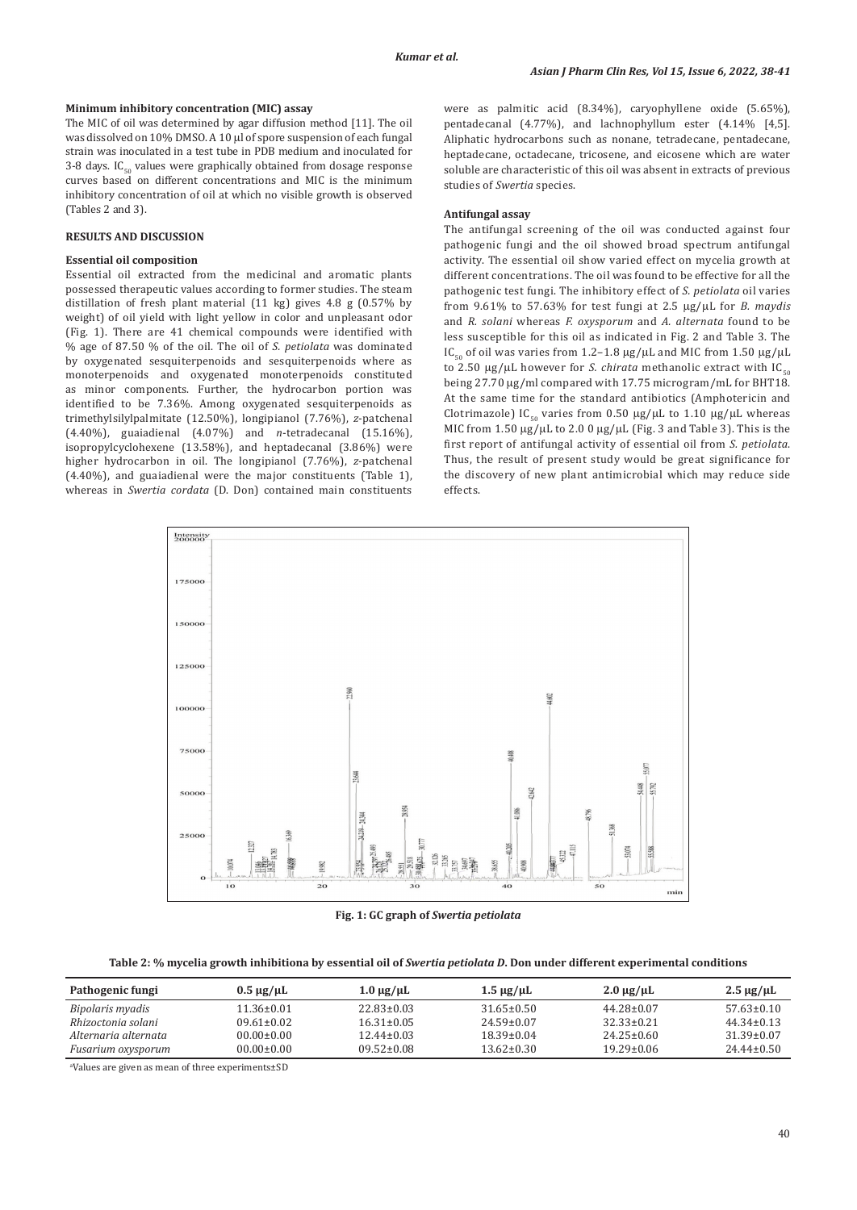#### **Minimum inhibitory concentration (MIC) assay**

The MIC of oil was determined by agar diffusion method [11]. The oil was dissolved on 10% DMSO. A 10 µl of spore suspension of each fungal strain was inoculated in a test tube in PDB medium and inoculated for 3-8 days.  $IC_{50}$  values were graphically obtained from dosage response curves based on different concentrations and MIC is the minimum inhibitory concentration of oil at which no visible growth is observed (Tables 2 and 3).

### **RESULTS AND DISCUSSION**

# **Essential oil composition**

Essential oil extracted from the medicinal and aromatic plants possessed therapeutic values according to former studies. The steam distillation of fresh plant material (11 kg) gives 4.8 g (0.57% by weight) of oil yield with light yellow in color and unpleasant odor (Fig. 1). There are 41 chemical compounds were identified with % age of 87.50 % of the oil. The oil of *S. petiolata* was dominated by oxygenated sesquiterpenoids and sesquiterpenoids where as monoterpenoids and oxygenated monoterpenoids constituted as minor components. Further, the hydrocarbon portion was identified to be 7.36%. Among oxygenated sesquiterpenoids as trimethylsilylpalmitate (12.50%), longipianol (7.76%), *z*-patchenal (4.40%), guaiadienal (4.07%) and *n*-tetradecanal (15.16%), isopropylcyclohexene (13.58%), and heptadecanal (3.86%) were higher hydrocarbon in oil. The longipianol (7.76%), *z*-patchenal (4.40%), and guaiadienal were the major constituents (Table 1), whereas in *Swertia cordata* (D. Don) contained main constituents were as palmitic acid (8.34%), caryophyllene oxide (5.65%), pentadecanal (4.77%), and lachnophyllum ester (4.14% [4,5]. Aliphatic hydrocarbons such as nonane, tetradecane, pentadecane, heptadecane, octadecane, tricosene, and eicosene which are water soluble are characteristic of this oil was absent in extracts of previous studies of *Swertia* species.

### **Antifungal assay**

The antifungal screening of the oil was conducted against four pathogenic fungi and the oil showed broad spectrum antifungal activity. The essential oil show varied effect on mycelia growth at different concentrations. The oil was found to be effective for all the pathogenic test fungi. The inhibitory effect of *S. petiolata* oil varies from 9.61% to 57.63% for test fungi at 2.5 µg/µL for *B. maydis*  and *R. solani* whereas *F. oxysporum* and *A. alternata* found to be less susceptible for this oil as indicated in Fig. 2 and Table 3. The IC<sub>50</sub> of oil was varies from 1.2–1.8  $\mu$ g/ $\mu$ L and MIC from 1.50  $\mu$ g/ $\mu$ L to 2.50  $\mu$ g/ $\mu$ L however for *S. chirata* methanolic extract with IC<sub>50</sub> being 27.70 µg/ml compared with 17.75 microgram/mL for BHT18. At the same time for the standard antibiotics (Amphotericin and Clotrimazole) IC<sub>50</sub> varies from 0.50  $\mu$ g/ $\mu$ L to 1.10  $\mu$ g/ $\mu$ L whereas MIC from 1.50 µg/µL to 2.0 0 µg/µL (Fig. 3 and Table 3). This is the first report of antifungal activity of essential oil from *S. petiolata*. Thus, the result of present study would be great significance for the discovery of new plant antimicrobial which may reduce side effects.



**Fig. 1: GC graph of** *Swertia petiolata*

Table 2: % mycelia growth inhibitiona by essential oil of *Swertia petiolata D*. Don under different experimental conditions

| Pathogenic fungi     | $0.5 \mu$ g/ $\mu$ L | $1.0 \mu$ g/ $\mu$ L | $1.5 \mu$ g/ $\mu$ L | $2.0 \mu g/\mu L$ | $2.5 \mu g/\mu L$ |
|----------------------|----------------------|----------------------|----------------------|-------------------|-------------------|
| Bipolaris myadis     | 11.36+0.01           | 22.83+0.03           | $31.65 \pm 0.50$     | $44.28 \pm 0.07$  | $57.63 + 0.10$    |
| Rhizoctonia solani   | $09.61 \pm 0.02$     | $16.31 + 0.05$       | $24.59 \pm 0.07$     | 32 33 + 0.21      | $44.34 \pm 0.13$  |
| Alternaria alternata | $00.00 + 0.00$       | $12.44 \pm 0.03$     | 18.39+0.04           | $2425+0.60$       | 31.39+0.07        |
| Fusarium oxysporum   | $00.00 \pm 0.00$     | 09.52+0.08           | $13.62 + 0.30$       | $19.29 + 0.06$    | $24.44+0.50$      |

a Values are given as mean of three experiments±SD